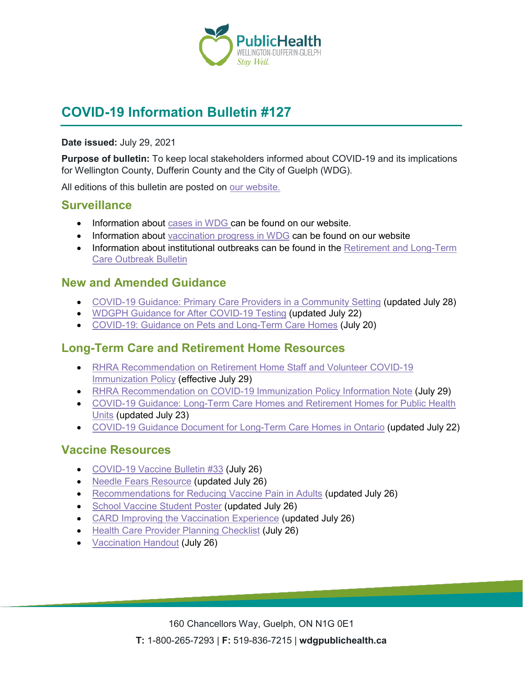

# **COVID-19 Information Bulletin #127**

#### **Date issued:** July 29, 2021

**Purpose of bulletin:** To keep local stakeholders informed about COVID-19 and its implications for Wellington County, Dufferin County and the City of Guelph (WDG).

All editions of this bulletin are posted on [our website.](https://www.wdgpublichealth.ca/your-health/covid-19-information-workplaces-and-living-spaces/community-stakeholder-bulletins)

#### **Surveillance**

- Information about [cases in WDG](https://wdgpublichealth.ca/your-health/covid-19-information-public/status-cases-wdg) can be found on our website.
- Information about [vaccination progress](https://www.wdgpublichealth.ca/your-health/covid-19-information-public/covid-19-vaccine-information-public) in WDG can be found on our website
- Information about institutional outbreaks can be found in the Retirement and Long-Term [Care Outbreak Bulletin](https://wdgpublichealth.ca/node/1542)

### **New and Amended Guidance**

- [COVID-19 Guidance: Primary Care Providers in a Community Setting](https://www.health.gov.on.ca/en/pro/programs/publichealth/coronavirus/docs/2019_primary_care_guidance.pdf) (updated July 28)
- [WDGPH Guidance for After COVID-19 Testing](https://www.wdgpublichealth.ca/sites/default/files/wdgph_guidance_for_after_covid_19_testing.pdf) (updated July 22)
- [COVID-19: Guidance on Pets and Long-Term Care Homes](https://www.canada.ca/en/public-health/services/diseases/2019-novel-coronavirus-infection/guidance-documents/pets-long-term-care-homes.html) (July 20)

### **Long-Term Care and Retirement Home Resources**

- RHRA Recommendation on Retirement Home Staff and Volunteer COVID-19 [Immunization Policy](https://can01.safelinks.protection.outlook.com/?url=https%3A%2F%2Frhra.us14.list-manage.com%2Ftrack%2Fclick%3Fu%3D87d4aaf3fb1d53c0eda5af7e1%26id%3Da6599ed880%26e%3Dac1ea3a5b5&data=04%7C01%7CTania.Buko%40rhra.ca%7Cc7ac5acbb28a497d9acb08d9529cabc7%7C60b3a4ba1185430cb69d45183bf0a62f%7C0%7C0%7C637631655137145049%7CUnknown%7CTWFpbGZsb3d8eyJWIjoiMC4wLjAwMDAiLCJQIjoiV2luMzIiLCJBTiI6Ik1haWwiLCJXVCI6Mn0%3D%7C1000&sdata=M8ULw3yXtSLoJlqU9HCI4ae%2FNoY2dgE%2FitdlAeqByOY%3D&reserved=0) (effective July 29)
- [RHRA Recommendation on COVID-19 Immunization Policy](https://www.rhra.ca/wp-content/uploads/2021/07/Immunization-Policy-Information-Note-FINAL-July-29-2021.pdf) Information Note (July 29)
- [COVID-19 Guidance: Long-Term Care Homes and Retirement Homes for Public Health](https://www.health.gov.on.ca/en/pro/programs/publichealth/coronavirus/docs/2019_LTC_homes_retirement_homes_for_PHUs_guidance.pdf)  [Units](https://www.health.gov.on.ca/en/pro/programs/publichealth/coronavirus/docs/2019_LTC_homes_retirement_homes_for_PHUs_guidance.pdf) (updated July 23)
- [COVID-19 Guidance Document for Long-Term Care Homes in Ontario](https://www.ontario.ca/page/covid-19-guidance-document-long-term-care-homes-ontario) (updated July 22)

### **Vaccine Resources**

- [COVID-19 Vaccine Bulletin #33](https://www.wdgpublichealth.ca/sites/default/files/wdgph_covid-19_vaccine_bulletin_33_july_26_2021.pdf) (July 26)
- [Needle Fears Resource](https://www.health.gov.on.ca/en/pro/programs/publichealth/coronavirus/docs/vaccine/Needle_Fears_Resource.pdf) (updated July 26)
- [Recommendations for Reducing Vaccine Pain in Adults](https://www.health.gov.on.ca/en/pro/programs/publichealth/coronavirus/docs/vaccine/Reducing_Vaccination_Pain_Adults.pdf) (updated July 26)
- [School Vaccine Student Poster](https://www.health.gov.on.ca/en/pro/programs/publichealth/coronavirus/docs/vaccine/School_Vaccine_Student_Poster.pdf) (updated July 26)
- [CARD Improving the Vaccination Experience](https://www.health.gov.on.ca/en/pro/programs/publichealth/coronavirus/docs/vaccine/CARD_Improving_Vaccination_Experience_Guide_healthcare_providers.pdf) (updated July 26)
- [Health Care Provider Planning Checklist](https://www.health.gov.on.ca/en/pro/programs/publichealth/coronavirus/docs/vaccine/CARD_HCP_PlanningChecklist.pdf) (July 26)
- [Vaccination Handout](https://www.health.gov.on.ca/en/pro/programs/publichealth/coronavirus/docs/vaccine/CARD_Vaccination_Handout.pdf) (July 26)

160 Chancellors Way, Guelph, ON N1G 0E1 **T:** 1-800-265-7293 | **F:** 519-836-7215 | **wdgpublichealth.ca**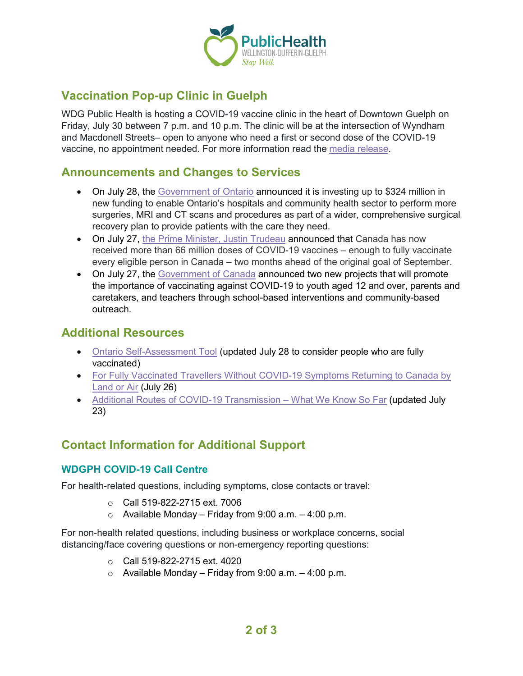

# **Vaccination Pop-up Clinic in Guelph**

WDG Public Health is hosting a COVID-19 vaccine clinic in the heart of Downtown Guelph on Friday, July 30 between 7 p.m. and 10 p.m. The clinic will be at the intersection of Wyndham and Macdonell Streets– open to anyone who need a first or second dose of the COVID-19 vaccine, no appointment needed. For more information read the [media release.](https://www.wdgpublichealth.ca/news/media-release-vaccination-pop-clinic-coming-downtown-guelph-friday-night)

### **Announcements and Changes to Services**

- On July 28, the [Government of Ontario](https://news.ontario.ca/en/release/1000613/ontario-ramping-up-efforts-to-reduce-surgical-wait-times) announced it is investing up to \$324 million in new funding to enable Ontario's hospitals and community health sector to perform more surgeries, MRI and CT scans and procedures as part of a wider, comprehensive surgical recovery plan to provide patients with the care they need.
- On July 27, [the Prime Minister, Justin Trudeau](https://pm.gc.ca/en/news/news-releases/2021/07/27/canada-reaches-major-vaccine-campaign-milestone) announced that Canada has now received more than 66 million doses of COVID-19 vaccines – enough to fully vaccinate every eligible person in Canada – two months ahead of the original goal of September.
- On July 27, the [Government of Canada](https://www.canada.ca/en/public-health/news/2021/07/government-of-canada-funds-two-new-projects-to-encourage-covid-19-vaccination-in-youth.html) announced two new projects that will promote the importance of vaccinating against COVID-19 to youth aged 12 and over, parents and caretakers, and teachers through school-based interventions and community-based outreach.

### **Additional Resources**

- [Ontario Self-Assessment Tool](https://covid-19.ontario.ca/self-assessment/) (updated July 28 to consider people who are fully vaccinated)
- For Fully Vaccinated Travellers Without COVID-19 Symptoms Returning to Canada by [Land or Air](https://www.canada.ca/en/public-health/services/publications/diseases-conditions/fully-vaccinated-travellers-without-covid-19-symptoms-returning-canada-land-air.html) (July 26)
- [Additional Routes of COVID-19 Transmission –](https://www.publichealthontario.ca/-/media/documents/ncov/covid-wwksf/2020/12/routes-transmission-covid-19.pdf?sc_lang=en) What We Know So Far (updated July 23)

## **Contact Information for Additional Support**

#### **WDGPH COVID-19 Call Centre**

For health-related questions, including symptoms, close contacts or travel:

- o Call 519-822-2715 ext. 7006
- $\circ$  Available Monday Friday from 9:00 a.m. 4:00 p.m.

For non-health related questions, including business or workplace concerns, social distancing/face covering questions or non-emergency reporting questions:

- $\circ$  Call 519-822-2715 ext. 4020
- $\circ$  Available Monday Friday from 9:00 a.m. 4:00 p.m.